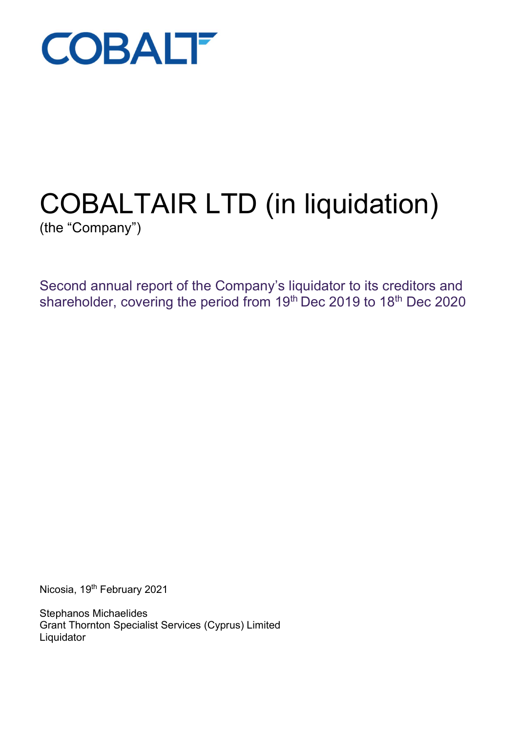

# COBALTAIR LTD (in liquidation)

(the "Company")

Second annual report of the Company's liquidator to its creditors and shareholder, covering the period from 19th Dec 2019 to 18th Dec 2020

Nicosia, 19th February 2021

Stephanos Michaelides Grant Thornton Specialist Services (Cyprus) Limited **Liquidator**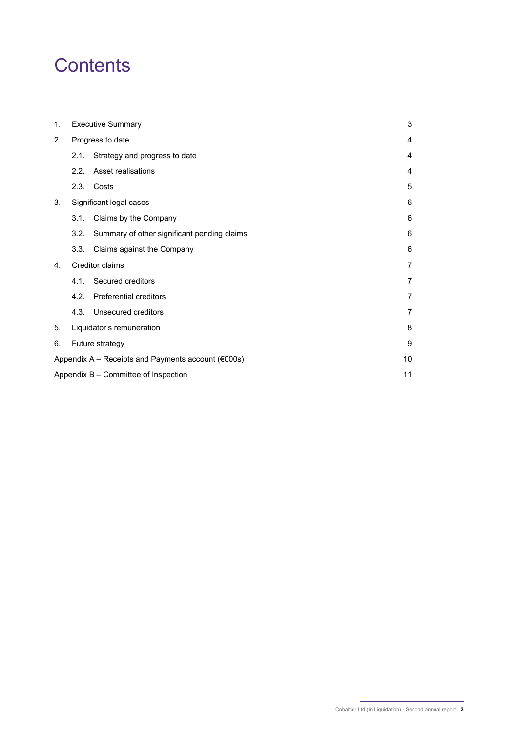# **Contents**

| 1. | <b>Executive Summary</b>                                              |                                             | 3              |
|----|-----------------------------------------------------------------------|---------------------------------------------|----------------|
| 2. | Progress to date                                                      |                                             | 4              |
|    | 2.1.                                                                  | Strategy and progress to date               | 4              |
|    | 2.2.                                                                  | Asset realisations                          | 4              |
|    |                                                                       | 2.3. Costs                                  | 5              |
| 3. |                                                                       | Significant legal cases                     | 6              |
|    | 3.1.                                                                  | Claims by the Company                       | 6              |
|    | 3.2.                                                                  | Summary of other significant pending claims | 6              |
|    | 3.3.                                                                  | Claims against the Company                  | 6              |
| 4. |                                                                       | Creditor claims                             | $\overline{7}$ |
|    | 4.1.                                                                  | Secured creditors                           | 7              |
|    | 4.2.                                                                  | <b>Preferential creditors</b>               | 7              |
|    | 4.3.                                                                  | Unsecured creditors                         | 7              |
| 5. | Liquidator's remuneration                                             |                                             | 8              |
| 6. | Future strategy                                                       |                                             | 9              |
|    | Appendix $A -$ Receipts and Payments account ( $\epsilon$ 000s)<br>10 |                                             |                |
|    | 11<br>Appendix B - Committee of Inspection                            |                                             |                |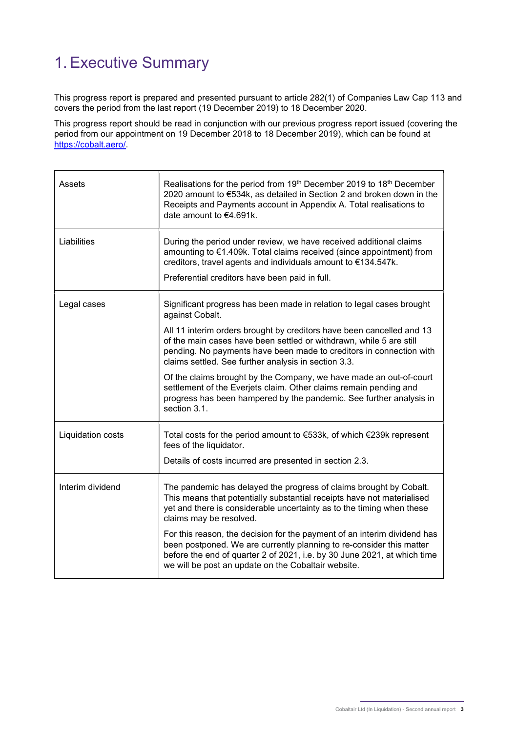# 1. Executive Summary

This progress report is prepared and presented pursuant to article 282(1) of Companies Law Cap 113 and covers the period from the last report (19 December 2019) to 18 December 2020.

This progress report should be read in conjunction with our previous progress report issued (covering the period from our appointment on 19 December 2018 to 18 December 2019), which can be found at https://cobalt.aero/.

| Assets            | Realisations for the period from 19th December 2019 to 18th December<br>2020 amount to €534k, as detailed in Section 2 and broken down in the<br>Receipts and Payments account in Appendix A. Total realisations to<br>date amount to €4.691k.                                      |
|-------------------|-------------------------------------------------------------------------------------------------------------------------------------------------------------------------------------------------------------------------------------------------------------------------------------|
| Liabilities       | During the period under review, we have received additional claims<br>amounting to €1.409k. Total claims received (since appointment) from<br>creditors, travel agents and individuals amount to €134.547k.<br>Preferential creditors have been paid in full.                       |
| Legal cases       | Significant progress has been made in relation to legal cases brought<br>against Cobalt.                                                                                                                                                                                            |
|                   | All 11 interim orders brought by creditors have been cancelled and 13<br>of the main cases have been settled or withdrawn, while 5 are still<br>pending. No payments have been made to creditors in connection with<br>claims settled. See further analysis in section 3.3.         |
|                   | Of the claims brought by the Company, we have made an out-of-court<br>settlement of the Everjets claim. Other claims remain pending and<br>progress has been hampered by the pandemic. See further analysis in<br>section 3.1.                                                      |
| Liquidation costs | Total costs for the period amount to €533k, of which €239k represent<br>fees of the liquidator.                                                                                                                                                                                     |
|                   | Details of costs incurred are presented in section 2.3.                                                                                                                                                                                                                             |
| Interim dividend  | The pandemic has delayed the progress of claims brought by Cobalt.<br>This means that potentially substantial receipts have not materialised<br>yet and there is considerable uncertainty as to the timing when these<br>claims may be resolved.                                    |
|                   | For this reason, the decision for the payment of an interim dividend has<br>been postponed. We are currently planning to re-consider this matter<br>before the end of quarter 2 of 2021, i.e. by 30 June 2021, at which time<br>we will be post an update on the Cobaltair website. |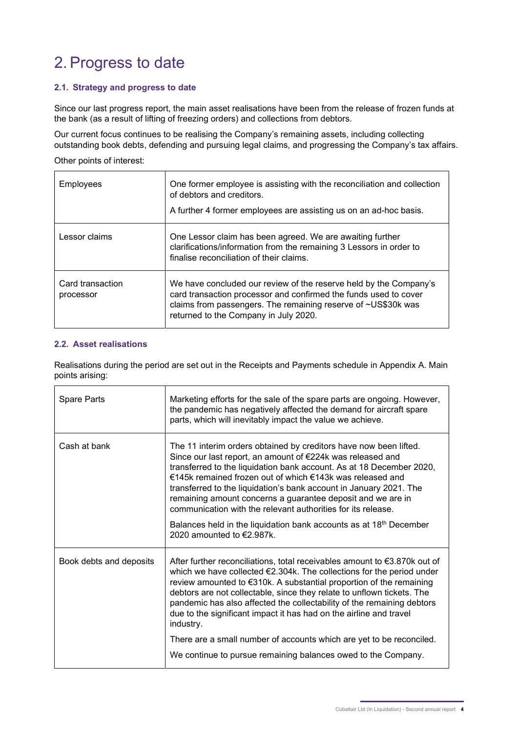# 2. Progress to date

#### 2.1. Strategy and progress to date

Since our last progress report, the main asset realisations have been from the release of frozen funds at the bank (as a result of lifting of freezing orders) and collections from debtors.

Our current focus continues to be realising the Company's remaining assets, including collecting outstanding book debts, defending and pursuing legal claims, and progressing the Company's tax affairs.

#### Other points of interest:

| Employees                     | One former employee is assisting with the reconciliation and collection<br>of debtors and creditors.<br>A further 4 former employees are assisting us on an ad-hoc basis.                                                                       |
|-------------------------------|-------------------------------------------------------------------------------------------------------------------------------------------------------------------------------------------------------------------------------------------------|
| Lessor claims                 | One Lessor claim has been agreed. We are awaiting further<br>clarifications/information from the remaining 3 Lessors in order to<br>finalise reconciliation of their claims.                                                                    |
| Card transaction<br>processor | We have concluded our review of the reserve held by the Company's<br>card transaction processor and confirmed the funds used to cover<br>claims from passengers. The remaining reserve of ~US\$30k was<br>returned to the Company in July 2020. |

#### 2.2. Asset realisations

Realisations during the period are set out in the Receipts and Payments schedule in Appendix A. Main points arising:

| Spare Parts             | Marketing efforts for the sale of the spare parts are ongoing. However,<br>the pandemic has negatively affected the demand for aircraft spare<br>parts, which will inevitably impact the value we achieve.                                                                                                                                                                                                                                                                                                                                                  |
|-------------------------|-------------------------------------------------------------------------------------------------------------------------------------------------------------------------------------------------------------------------------------------------------------------------------------------------------------------------------------------------------------------------------------------------------------------------------------------------------------------------------------------------------------------------------------------------------------|
| Cash at bank            | The 11 interim orders obtained by creditors have now been lifted.<br>Since our last report, an amount of €224k was released and<br>transferred to the liquidation bank account. As at 18 December 2020,<br>€145k remained frozen out of which €143k was released and<br>transferred to the liquidation's bank account in January 2021. The<br>remaining amount concerns a guarantee deposit and we are in<br>communication with the relevant authorities for its release.<br>Balances held in the liquidation bank accounts as at 18 <sup>th</sup> December |
|                         | 2020 amounted to $\in$ 2.987k.                                                                                                                                                                                                                                                                                                                                                                                                                                                                                                                              |
| Book debts and deposits | After further reconciliations, total receivables amount to $\epsilon$ 3.870k out of<br>which we have collected €2.304k. The collections for the period under<br>review amounted to €310k. A substantial proportion of the remaining<br>debtors are not collectable, since they relate to unflown tickets. The<br>pandemic has also affected the collectability of the remaining debtors<br>due to the significant impact it has had on the airline and travel<br>industry.<br>There are a small number of accounts which are yet to be reconciled.          |
|                         | We continue to pursue remaining balances owed to the Company.                                                                                                                                                                                                                                                                                                                                                                                                                                                                                               |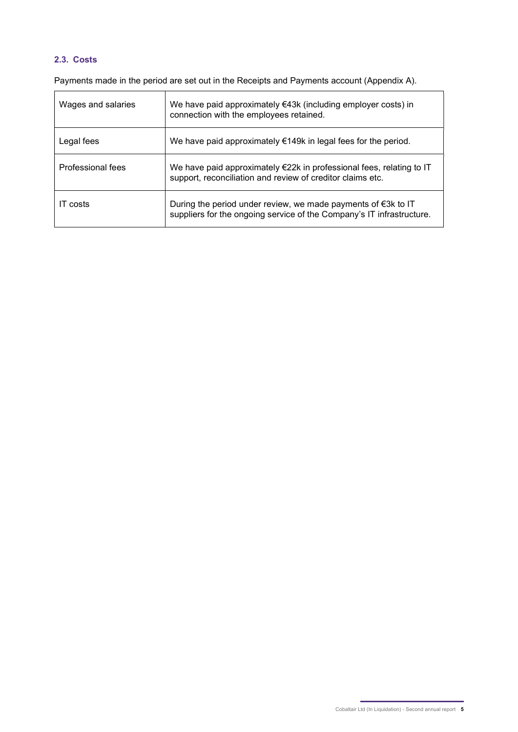#### 2.3. Costs

Payments made in the period are set out in the Receipts and Payments account (Appendix A).

| Wages and salaries | We have paid approximately $€43k$ (including employer costs) in<br>connection with the employees retained.                                       |
|--------------------|--------------------------------------------------------------------------------------------------------------------------------------------------|
| Legal fees         | We have paid approximately $€149k$ in legal fees for the period.                                                                                 |
| Professional fees  | We have paid approximately €22k in professional fees, relating to IT<br>support, reconciliation and review of creditor claims etc.               |
| IT costs           | During the period under review, we made payments of $\epsilon$ 3k to IT<br>suppliers for the ongoing service of the Company's IT infrastructure. |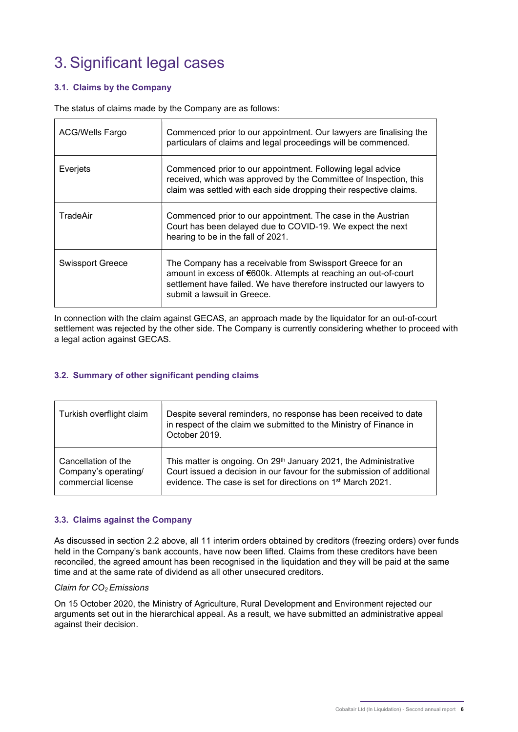# 3. Significant legal cases

#### 3.1. Claims by the Company

The status of claims made by the Company are as follows:

| <b>ACG/Wells Fargo</b>  | Commenced prior to our appointment. Our lawyers are finalising the<br>particulars of claims and legal proceedings will be commenced.                                                                                               |
|-------------------------|------------------------------------------------------------------------------------------------------------------------------------------------------------------------------------------------------------------------------------|
| Everjets                | Commenced prior to our appointment. Following legal advice<br>received, which was approved by the Committee of Inspection, this<br>claim was settled with each side dropping their respective claims.                              |
| TradeAir                | Commenced prior to our appointment. The case in the Austrian<br>Court has been delayed due to COVID-19. We expect the next<br>hearing to be in the fall of 2021.                                                                   |
| <b>Swissport Greece</b> | The Company has a receivable from Swissport Greece for an<br>amount in excess of €600k. Attempts at reaching an out-of-court<br>settlement have failed. We have therefore instructed our lawyers to<br>submit a lawsuit in Greece. |

In connection with the claim against GECAS, an approach made by the liquidator for an out-of-court settlement was rejected by the other side. The Company is currently considering whether to proceed with a legal action against GECAS.

#### 3.2. Summary of other significant pending claims

| Turkish overflight claim | Despite several reminders, no response has been received to date<br>in respect of the claim we submitted to the Ministry of Finance in<br>October 2019. |
|--------------------------|---------------------------------------------------------------------------------------------------------------------------------------------------------|
| Cancellation of the      | This matter is ongoing. On 29 <sup>th</sup> January 2021, the Administrative                                                                            |
| Company's operating/     | Court issued a decision in our favour for the submission of additional                                                                                  |
| commercial license       | evidence. The case is set for directions on 1 <sup>st</sup> March 2021.                                                                                 |

#### 3.3. Claims against the Company

As discussed in section 2.2 above, all 11 interim orders obtained by creditors (freezing orders) over funds held in the Company's bank accounts, have now been lifted. Claims from these creditors have been reconciled, the agreed amount has been recognised in the liquidation and they will be paid at the same time and at the same rate of dividend as all other unsecured creditors.

#### Claim for  $CO<sub>2</sub>$  Emissions

On 15 October 2020, the Ministry of Agriculture, Rural Development and Environment rejected our arguments set out in the hierarchical appeal. As a result, we have submitted an administrative appeal against their decision.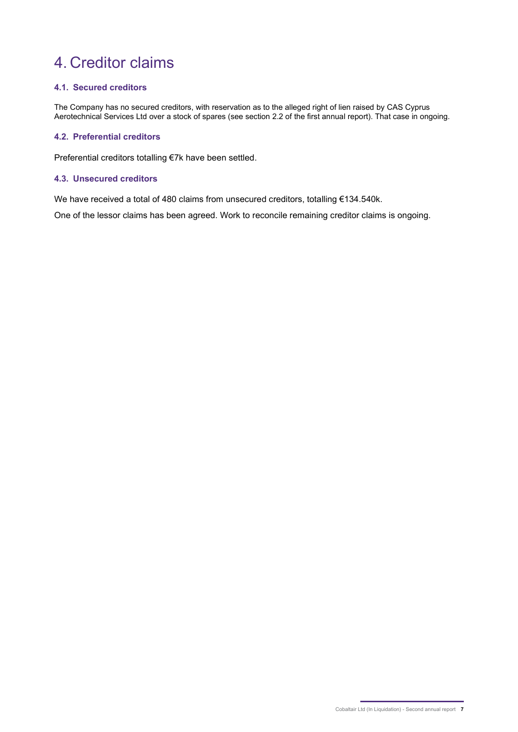# 4. Creditor claims

#### 4.1. Secured creditors

The Company has no secured creditors, with reservation as to the alleged right of lien raised by CAS Cyprus Aerotechnical Services Ltd over a stock of spares (see section 2.2 of the first annual report). That case in ongoing.

#### 4.2. Preferential creditors

Preferential creditors totalling €7k have been settled.

#### 4.3. Unsecured creditors

We have received a total of 480 claims from unsecured creditors, totalling €134.540k.

One of the lessor claims has been agreed. Work to reconcile remaining creditor claims is ongoing.

Cobaltair Ltd (In Liquidation) - Second annual report 7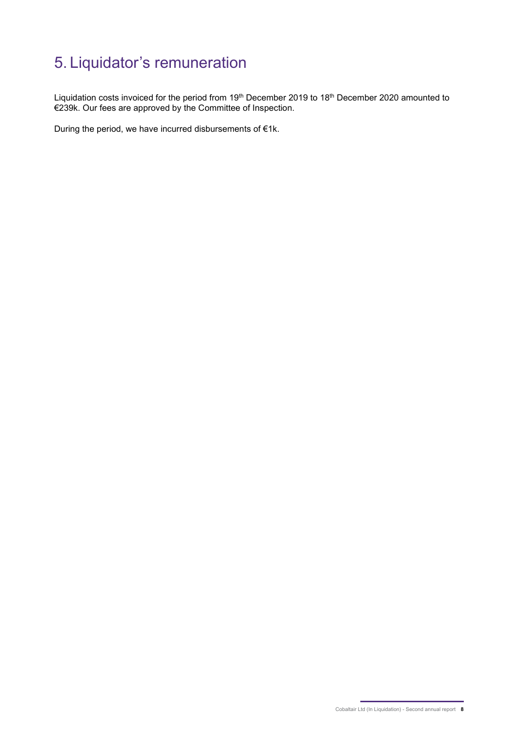# 5. Liquidator's remuneration

Liquidation costs invoiced for the period from 19<sup>th</sup> December 2019 to 18<sup>th</sup> December 2020 amounted to €239k. Our fees are approved by the Committee of Inspection.

During the period, we have incurred disbursements of €1k.

Cobaltair Ltd (In Liquidation) - Second annual report 8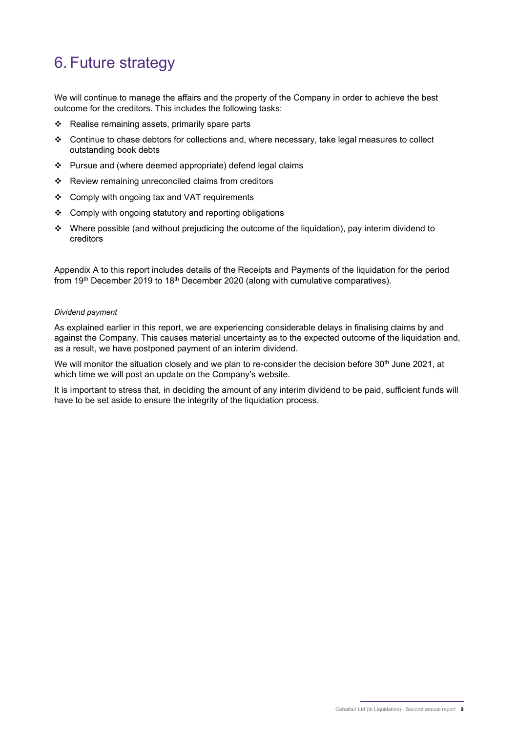# 6. Future strategy

We will continue to manage the affairs and the property of the Company in order to achieve the best outcome for the creditors. This includes the following tasks:

- $\div$  Realise remaining assets, primarily spare parts
- $\div$  Continue to chase debtors for collections and, where necessary, take legal measures to collect outstanding book debts
- Pursue and (where deemed appropriate) defend legal claims
- \* Review remaining unreconciled claims from creditors
- ❖ Comply with ongoing tax and VAT requirements
- ❖ Comply with ongoing statutory and reporting obligations
- Where possible (and without prejudicing the outcome of the liquidation), pay interim dividend to creditors

Appendix A to this report includes details of the Receipts and Payments of the liquidation for the period from 19<sup>th</sup> December 2019 to 18<sup>th</sup> December 2020 (along with cumulative comparatives).

#### Dividend payment

As explained earlier in this report, we are experiencing considerable delays in finalising claims by and against the Company. This causes material uncertainty as to the expected outcome of the liquidation and, as a result, we have postponed payment of an interim dividend.

We will monitor the situation closely and we plan to re-consider the decision before 30<sup>th</sup> June 2021, at which time we will post an update on the Company's website.

It is important to stress that, in deciding the amount of any interim dividend to be paid, sufficient funds will have to be set aside to ensure the integrity of the liquidation process.

Cobaltair Ltd (In Liquidation) - Second annual report 9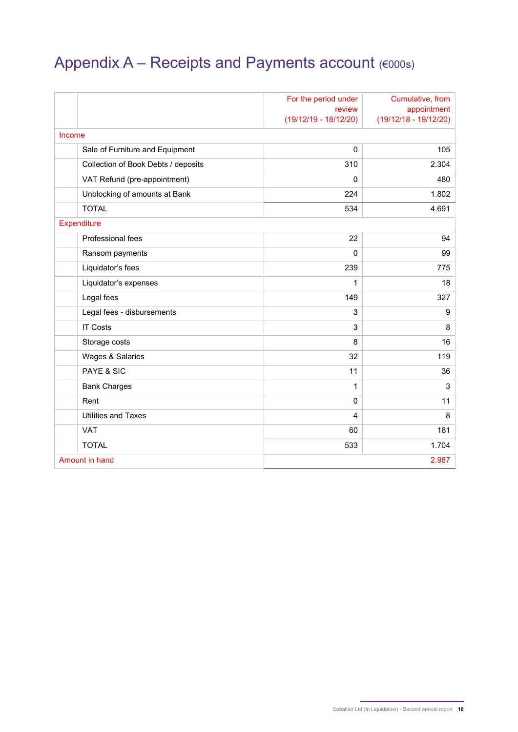# Appendix A – Receipts and Payments account (€000s)

|                                     | For the period under<br>review<br>$(19/12/19 - 18/12/20)$ | Cumulative, from<br>appointment<br>$(19/12/18 - 19/12/20)$ |
|-------------------------------------|-----------------------------------------------------------|------------------------------------------------------------|
| Income                              |                                                           |                                                            |
| Sale of Furniture and Equipment     | $\mathbf 0$                                               | 105                                                        |
| Collection of Book Debts / deposits | 310                                                       | 2.304                                                      |
| VAT Refund (pre-appointment)        | $\mathbf{0}$                                              | 480                                                        |
| Unblocking of amounts at Bank       | 224                                                       | 1.802                                                      |
| <b>TOTAL</b>                        | 534                                                       | 4.691                                                      |
| Expenditure                         |                                                           |                                                            |
| Professional fees                   | 22                                                        | 94                                                         |
| Ransom payments                     | $\mathbf{0}$                                              | 99                                                         |
| Liquidator's fees                   | 239                                                       | 775                                                        |
| Liquidator's expenses               | 1                                                         | 18                                                         |
| Legal fees                          | 149                                                       | 327                                                        |
| Legal fees - disbursements          | 3                                                         | 9                                                          |
| <b>IT Costs</b>                     | 3                                                         | 8                                                          |
| Storage costs                       | 8                                                         | 16                                                         |
| Wages & Salaries                    | 32                                                        | 119                                                        |
| PAYE & SIC                          | 11                                                        | 36                                                         |
| <b>Bank Charges</b>                 | 1                                                         | $\mathsf 3$                                                |
| Rent                                | $\mathbf 0$                                               | 11                                                         |
| <b>Utilities and Taxes</b>          | $\overline{4}$                                            | 8                                                          |
| <b>VAT</b>                          | 60                                                        | 181                                                        |
| <b>TOTAL</b>                        | 533                                                       | 1.704                                                      |
| Amount in hand                      |                                                           | 2.987                                                      |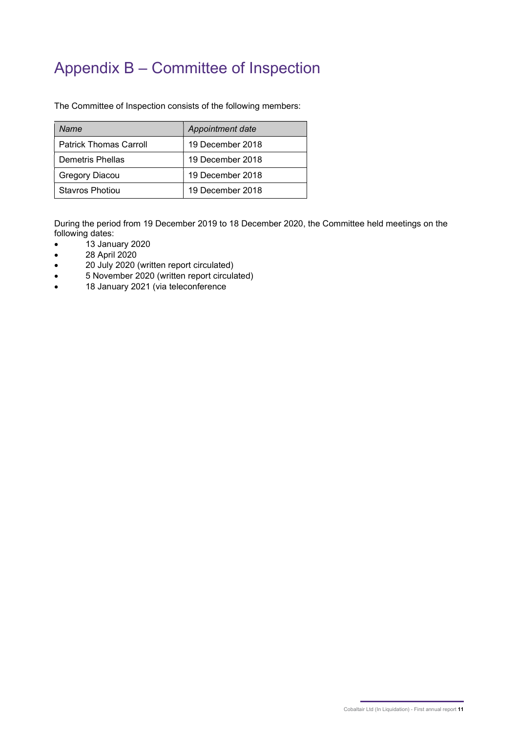### Appendix B – Committee of Inspection

The Committee of Inspection consists of the following members:

| Name                          | Appointment date |
|-------------------------------|------------------|
| <b>Patrick Thomas Carroll</b> | 19 December 2018 |
| Demetris Phellas              | 19 December 2018 |
| Gregory Diacou                | 19 December 2018 |
| Stavros Photiou               | 19 December 2018 |

During the period from 19 December 2019 to 18 December 2020, the Committee held meetings on the following dates:

- $\bullet$   $\qquad$  13 January 2020
- 28 April 2020
- 20 July 2020 (written report circulated)
- 5 November 2020 (written report circulated)
- 18 January 2021 (via teleconference